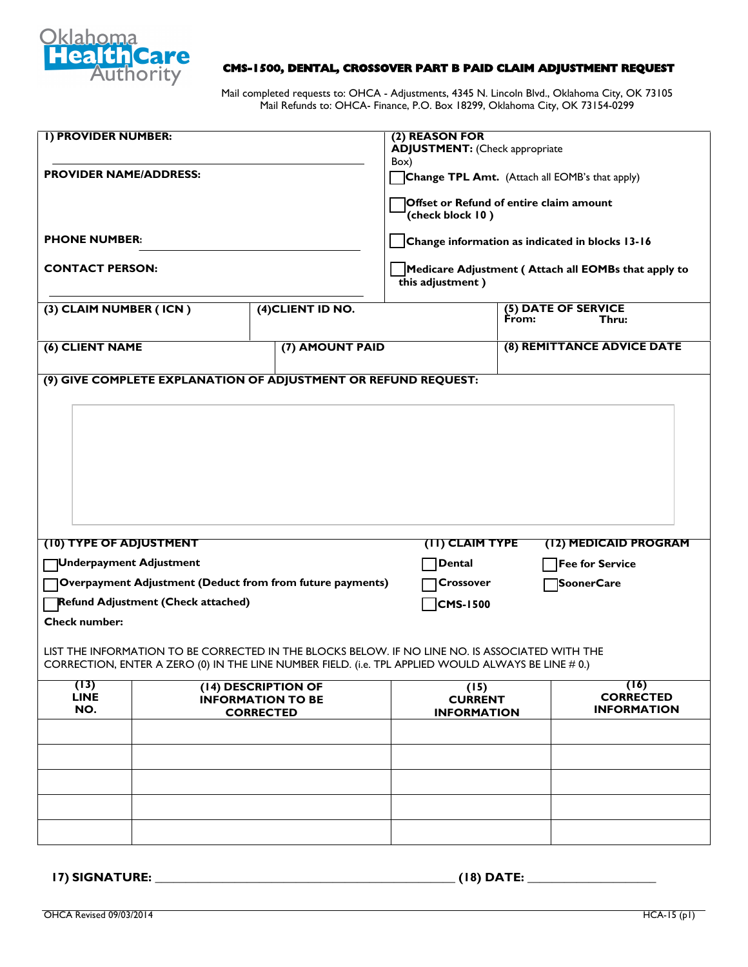

## **CMS-1500, DENTAL, CROSSOVER PART B PAID CLAIM ADJUSTMENT REQUEST**

Mail completed requests to: OHCA - Adjustments, 4345 N. Lincoln Blvd., Oklahoma City, OK 73105 Mail Refunds to: OHCA- Finance, P.O. Box 18299, Oklahoma City, OK 73154-0299

| <b>I) PROVIDER NUMBER:</b>    |                                           |                                                                                                                                                                                                        | (2) REASON FOR<br><b>ADJUSTMENT:</b> (Check appropriate                                              |                                                |
|-------------------------------|-------------------------------------------|--------------------------------------------------------------------------------------------------------------------------------------------------------------------------------------------------------|------------------------------------------------------------------------------------------------------|------------------------------------------------|
| <b>PROVIDER NAME/ADDRESS:</b> |                                           |                                                                                                                                                                                                        | Box)<br>Change TPL Amt. (Attach all EOMB's that apply)                                               |                                                |
|                               |                                           |                                                                                                                                                                                                        | (check block 10)                                                                                     | Offset or Refund of entire claim amount        |
| <b>PHONE NUMBER:</b>          |                                           |                                                                                                                                                                                                        | Change information as indicated in blocks 13-16                                                      |                                                |
| <b>CONTACT PERSON:</b>        |                                           |                                                                                                                                                                                                        | Medicare Adjustment (Attach all EOMBs that apply to<br>$\overline{t}$ this adjustment $\overline{t}$ |                                                |
| (3) CLAIM NUMBER (ICN)        |                                           | (4) CLIENT ID NO.                                                                                                                                                                                      |                                                                                                      | (5) DATE OF SERVICE<br>From:<br>Thru:          |
| (6) CLIENT NAME               |                                           | (7) AMOUNT PAID                                                                                                                                                                                        |                                                                                                      | (8) REMITTANCE ADVICE DATE                     |
|                               |                                           | (9) GIVE COMPLETE EXPLANATION OF ADJUSTMENT OR REFUND REQUEST:                                                                                                                                         |                                                                                                      |                                                |
|                               |                                           |                                                                                                                                                                                                        |                                                                                                      |                                                |
| (10) TYPE OF ADJUSTMENT       |                                           |                                                                                                                                                                                                        | (II) CLAIM TYPE                                                                                      | (12) MEDICAID PROGRAM                          |
| Underpayment Adjustment       |                                           |                                                                                                                                                                                                        | <b>Dental</b>                                                                                        | <b>Fee for Service</b>                         |
|                               |                                           | Overpayment Adjustment (Deduct from from future payments)                                                                                                                                              | Crossover                                                                                            | SoonerCare                                     |
|                               | <b>Refund Adjustment (Check attached)</b> |                                                                                                                                                                                                        | CMS-1500                                                                                             |                                                |
| <b>Check number:</b>          |                                           | LIST THE INFORMATION TO BE CORRECTED IN THE BLOCKS BELOW. IF NO LINE NO. IS ASSOCIATED WITH THE<br>CORRECTION, ENTER A ZERO (0) IN THE LINE NUMBER FIELD. (i.e. TPL APPLIED WOULD ALWAYS BE LINE # 0.) |                                                                                                      |                                                |
| (13)<br><b>LINE</b><br>NO.    |                                           | (14) DESCRIPTION OF<br><b>INFORMATION TO BE</b><br><b>CORRECTED</b>                                                                                                                                    | (15)<br><b>CURRENT</b><br><b>INFORMATION</b>                                                         | (16)<br><b>CORRECTED</b><br><b>INFORMATION</b> |
|                               |                                           |                                                                                                                                                                                                        |                                                                                                      |                                                |
|                               |                                           |                                                                                                                                                                                                        |                                                                                                      |                                                |
|                               |                                           |                                                                                                                                                                                                        |                                                                                                      |                                                |
|                               |                                           |                                                                                                                                                                                                        |                                                                                                      |                                                |
|                               |                                           |                                                                                                                                                                                                        |                                                                                                      |                                                |

**17) SIGNATURE: \_\_\_\_\_\_\_\_\_\_\_\_\_\_\_\_\_\_\_\_\_\_\_\_\_\_\_\_\_\_\_\_\_\_\_\_\_\_\_\_\_\_\_\_\_\_\_\_\_ (18) DATE: \_\_\_\_\_\_\_\_\_\_\_\_\_\_\_\_\_\_\_\_\_**